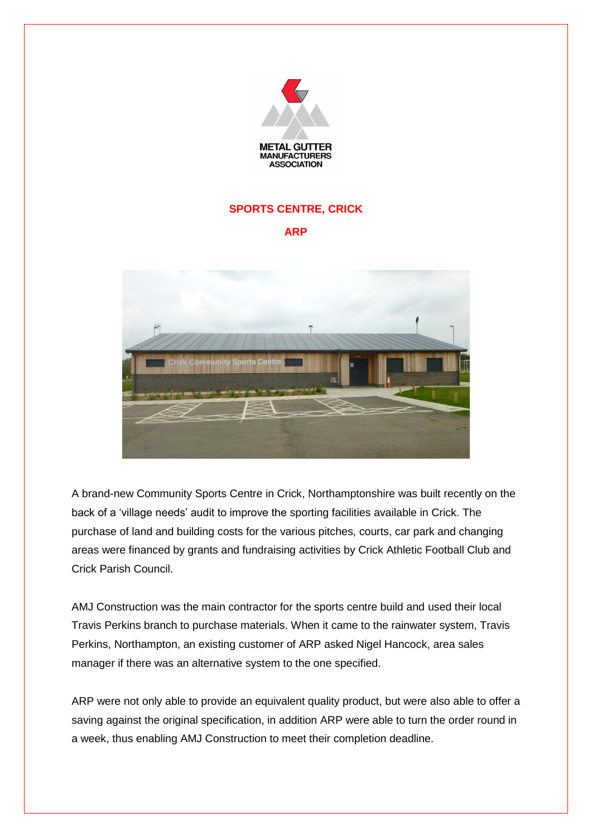

## **SPORTS CENTRE, CRICK**

## **ARP**



A brand-new Community Sports Centre in Crick, Northamptonshire was built recently on the back of a 'village needs' audit to improve the sporting facilities available in Crick. The purchase of land and building costs for the various pitches, courts, car park and changing areas were financed by grants and fundraising activities by Crick Athletic Football Club and Crick Parish Council.

AMJ Construction was the main contractor for the sports centre build and used their local Travis Perkins branch to purchase materials. When it came to the rainwater system, Travis Perkins, Northampton, an existing customer of ARP asked Nigel Hancock, area sales manager if there was an alternative system to the one specified.

ARP were not only able to provide an equivalent quality product, but were also able to offer a saving against the original specification, in addition ARP were able to turn the order round in a week, thus enabling AMJ Construction to meet their completion deadline.